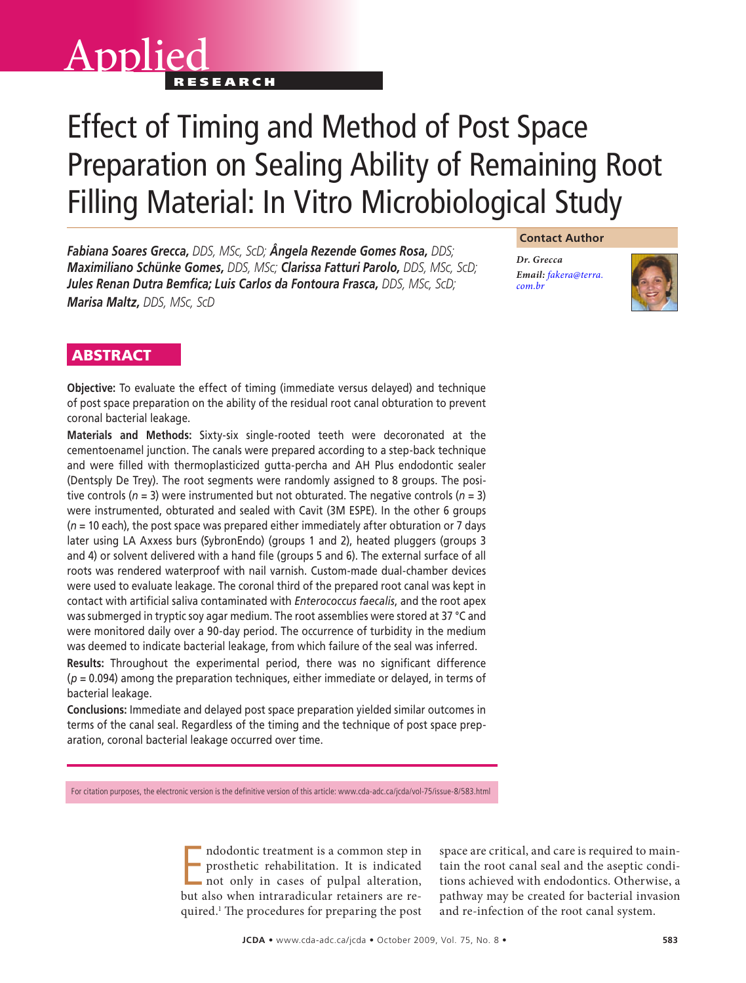# Applied Effect of Timing and Method of Post Space Preparation on Sealing Ability of Remaining Root Filling Material: In Vitro Microbiological Study

*Fabiana Soares Grecca, DDS, MSc, ScD; Ângela Rezende Gomes Rosa, DDS; Maximiliano Schünke Gomes, DDS, MSc; Clarissa Fatturi Parolo, DDS, MSc, ScD; Jules Renan Dutra Bemfica; Luis Carlos da Fontoura Frasca, DDS, MSc, ScD; Marisa Maltz, DDS, MSc, ScD*

# **Contact Author**

*Dr. Grecca Email: [fakera@terra.](mailto:fakera@terra.com.br) com.br*



# **ABSTRACT**

**Objective:** To evaluate the effect of timing (immediate versus delayed) and technique of post space preparation on the ability of the residual root canal obturation to prevent coronal bacterial leakage.

**Materials and Methods:** Sixty-six single-rooted teeth were decoronated at the cementoenamel junction. The canals were prepared according to a step-back technique and were filled with thermoplasticized gutta-percha and AH Plus endodontic sealer (Dentsply De Trey). The root segments were randomly assigned to 8 groups. The positive controls (*n* = 3) were instrumented but not obturated. The negative controls (*n* = 3) were instrumented, obturated and sealed with Cavit (3M ESPE). In the other 6 groups (*n* = 10 each), the post space was prepared either immediately after obturation or 7 days later using LA Axxess burs (SybronEndo) (groups 1 and 2), heated pluggers (groups 3 and 4) or solvent delivered with a hand file (groups 5 and 6). The external surface of all roots was rendered waterproof with nail varnish. Custom-made dual-chamber devices were used to evaluate leakage. The coronal third of the prepared root canal was kept in contact with artificial saliva contaminated with *Enterococcus faecalis*, and the root apex was submerged in tryptic soy agar medium. The root assemblies were stored at 37 °C and were monitored daily over a 90-day period. The occurrence of turbidity in the medium was deemed to indicate bacterial leakage, from which failure of the seal was inferred.

**Results:** Throughout the experimental period, there was no significant difference (*p* = 0.094) among the preparation techniques, either immediate or delayed, in terms of bacterial leakage.

**Conclusions:** Immediate and delayed post space preparation yielded similar outcomes in terms of the canal seal. Regardless of the timing and the technique of post space preparation, coronal bacterial leakage occurred over time.

For citation purposes, the electronic version is the definitive version of this article: www.cda-adc.ca/jcda/vol-75/issue-8/583.html

Indodontic treatment is a common step in<br>prosthetic rehabilitation. It is indicated<br>not only in cases of pulpal alteration,<br>but also when intraradicular retainers are rendodontic treatment is a common step in prosthetic rehabilitation. It is indicated not only in cases of pulpal alteration, quired.1 The procedures for preparing the post

space are critical, and care is required to maintain the root canal seal and the aseptic conditions achieved with endodontics. Otherwise, a pathway may be created for bacterial invasion and re-infection of the root canal system.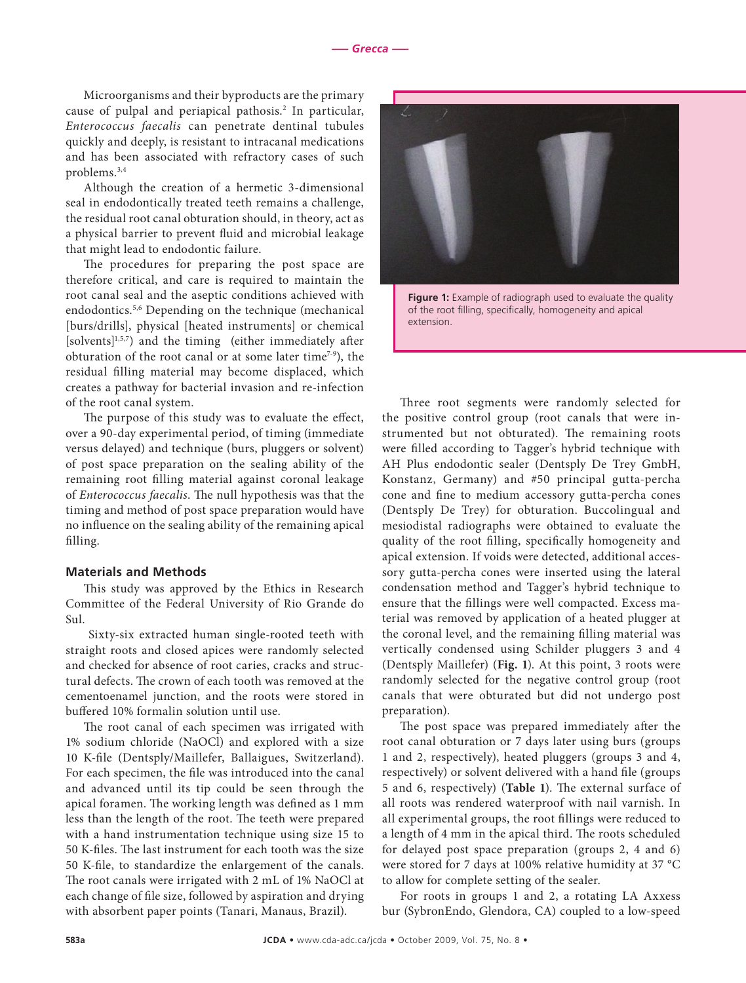Microorganisms and their byproducts are the primary cause of pulpal and periapical pathosis.2 In particular, *Enterococcus faecalis* can penetrate dentinal tubules quickly and deeply, is resistant to intracanal medications and has been associated with refractory cases of such problems.3,4

Although the creation of a hermetic 3-dimensional seal in endodontically treated teeth remains a challenge, the residual root canal obturation should, in theory, act as a physical barrier to prevent fluid and microbial leakage that might lead to endodontic failure.

The procedures for preparing the post space are therefore critical, and care is required to maintain the root canal seal and the aseptic conditions achieved with endodontics.5,6 Depending on the technique (mechanical [burs/drills], physical [heated instruments] or chemical [solvents]<sup>1,5,7</sup>) and the timing (either immediately after obturation of the root canal or at some later time<sup> $7-9$ </sup>), the residual filling material may become displaced, which creates a pathway for bacterial invasion and re-infection of the root canal system.

The purpose of this study was to evaluate the effect, over a 90-day experimental period, of timing (immediate versus delayed) and technique (burs, pluggers or solvent) of post space preparation on the sealing ability of the remaining root filling material against coronal leakage of *Enterococcus faecalis*. The null hypothesis was that the timing and method of post space preparation would have no influence on the sealing ability of the remaining apical filling.

#### **Materials and Methods**

This study was approved by the Ethics in Research Committee of the Federal University of Rio Grande do Sul.

 Sixty-six extracted human single-rooted teeth with straight roots and closed apices were randomly selected and checked for absence of root caries, cracks and structural defects. The crown of each tooth was removed at the cementoenamel junction, and the roots were stored in buffered 10% formalin solution until use.

The root canal of each specimen was irrigated with 1% sodium chloride (NaOCl) and explored with a size 10 K-file (Dentsply/Maillefer, Ballaigues, Switzerland). For each specimen, the file was introduced into the canal and advanced until its tip could be seen through the apical foramen. The working length was defined as 1 mm less than the length of the root. The teeth were prepared with a hand instrumentation technique using size 15 to 50 K-files. The last instrument for each tooth was the size 50 K-file, to standardize the enlargement of the canals. The root canals were irrigated with 2 mL of 1% NaOCl at each change of file size, followed by aspiration and drying with absorbent paper points (Tanari, Manaus, Brazil).



**Figure 1:** Example of radiograph used to evaluate the quality of the root filling, specifically, homogeneity and apical extension.

Three root segments were randomly selected for the positive control group (root canals that were instrumented but not obturated). The remaining roots were filled according to Tagger's hybrid technique with AH Plus endodontic sealer (Dentsply De Trey GmbH, Konstanz, Germany) and #50 principal gutta-percha cone and fine to medium accessory gutta-percha cones (Dentsply De Trey) for obturation. Buccolingual and mesiodistal radiographs were obtained to evaluate the quality of the root filling, specifically homogeneity and apical extension. If voids were detected, additional accessory gutta-percha cones were inserted using the lateral condensation method and Tagger's hybrid technique to ensure that the fillings were well compacted. Excess material was removed by application of a heated plugger at the coronal level, and the remaining filling material was vertically condensed using Schilder pluggers 3 and 4 (Dentsply Maillefer) (**Fig. 1**). At this point, 3 roots were randomly selected for the negative control group (root canals that were obturated but did not undergo post preparation).

The post space was prepared immediately after the root canal obturation or 7 days later using burs (groups 1 and 2, respectively), heated pluggers (groups 3 and 4, respectively) or solvent delivered with a hand file (groups 5 and 6, respectively) (**Table 1**). The external surface of all roots was rendered waterproof with nail varnish. In all experimental groups, the root fillings were reduced to a length of 4 mm in the apical third. The roots scheduled for delayed post space preparation (groups 2, 4 and 6) were stored for 7 days at 100% relative humidity at 37 °C to allow for complete setting of the sealer.

For roots in groups 1 and 2, a rotating LA Axxess bur (SybronEndo, Glendora, CA) coupled to a low-speed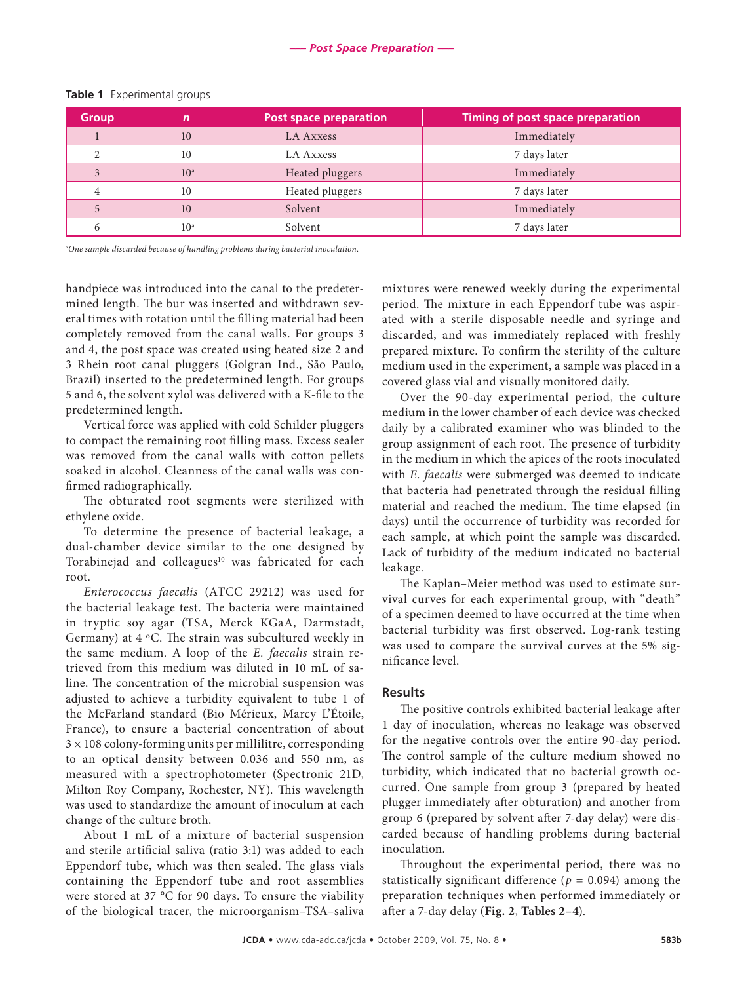| <b>Group</b> | $\mathsf{n}$    | <b>Post space preparation</b> | <b>Timing of post space preparation</b> |
|--------------|-----------------|-------------------------------|-----------------------------------------|
|              | 10              | LA Axxess                     | Immediately                             |
|              | 10              | LA Axxess                     | 7 days later                            |
|              | 10 <sup>a</sup> | Heated pluggers               | Immediately                             |
|              | 10              | Heated pluggers               | 7 days later                            |
|              | 10              | Solvent                       | Immediately                             |
|              | 10 <sup>a</sup> | Solvent                       | 7 days later                            |

#### **Table 1** Experimental groups

*a One sample discarded because of handling problems during bacterial inoculation.*

handpiece was introduced into the canal to the predetermined length. The bur was inserted and withdrawn several times with rotation until the filling material had been completely removed from the canal walls. For groups 3 and 4, the post space was created using heated size 2 and 3 Rhein root canal pluggers (Golgran Ind., São Paulo, Brazil) inserted to the predetermined length. For groups 5 and 6, the solvent xylol was delivered with a K-file to the predetermined length.

Vertical force was applied with cold Schilder pluggers to compact the remaining root filling mass. Excess sealer was removed from the canal walls with cotton pellets soaked in alcohol. Cleanness of the canal walls was confirmed radiographically.

The obturated root segments were sterilized with ethylene oxide.

To determine the presence of bacterial leakage, a dual-chamber device similar to the one designed by Torabinejad and colleagues<sup>10</sup> was fabricated for each root.

*Enterococcus faecalis* (ATCC 29212) was used for the bacterial leakage test. The bacteria were maintained in tryptic soy agar (TSA, Merck KGaA, Darmstadt, Germany) at 4 ºC. The strain was subcultured weekly in the same medium. A loop of the *E. faecalis* strain retrieved from this medium was diluted in 10 mL of saline. The concentration of the microbial suspension was adjusted to achieve a turbidity equivalent to tube 1 of the McFarland standard (Bio Mérieux, Marcy L'Étoile, France), to ensure a bacterial concentration of about  $3 \times 108$  colony-forming units per millilitre, corresponding to an optical density between 0.036 and 550 nm, as measured with a spectrophotometer (Spectronic 21D, Milton Roy Company, Rochester, NY). This wavelength was used to standardize the amount of inoculum at each change of the culture broth.

About 1 mL of a mixture of bacterial suspension and sterile artificial saliva (ratio 3:1) was added to each Eppendorf tube, which was then sealed. The glass vials containing the Eppendorf tube and root assemblies were stored at 37 °C for 90 days. To ensure the viability of the biological tracer, the microorganism–TSA–saliva

mixtures were renewed weekly during the experimental period. The mixture in each Eppendorf tube was aspirated with a sterile disposable needle and syringe and discarded, and was immediately replaced with freshly prepared mixture. To confirm the sterility of the culture medium used in the experiment, a sample was placed in a covered glass vial and visually monitored daily.

Over the 90-day experimental period, the culture medium in the lower chamber of each device was checked daily by a calibrated examiner who was blinded to the group assignment of each root. The presence of turbidity in the medium in which the apices of the roots inoculated with *E. faecalis* were submerged was deemed to indicate that bacteria had penetrated through the residual filling material and reached the medium. The time elapsed (in days) until the occurrence of turbidity was recorded for each sample, at which point the sample was discarded. Lack of turbidity of the medium indicated no bacterial leakage.

The Kaplan–Meier method was used to estimate survival curves for each experimental group, with "death" of a specimen deemed to have occurred at the time when bacterial turbidity was first observed. Log-rank testing was used to compare the survival curves at the 5% significance level.

# **Results**

The positive controls exhibited bacterial leakage after 1 day of inoculation, whereas no leakage was observed for the negative controls over the entire 90-day period. The control sample of the culture medium showed no turbidity, which indicated that no bacterial growth occurred. One sample from group 3 (prepared by heated plugger immediately after obturation) and another from group 6 (prepared by solvent after 7-day delay) were discarded because of handling problems during bacterial inoculation.

Throughout the experimental period, there was no statistically significant difference ( $p = 0.094$ ) among the preparation techniques when performed immediately or after a 7-day delay (**Fig. 2**, **Tables 2–4**).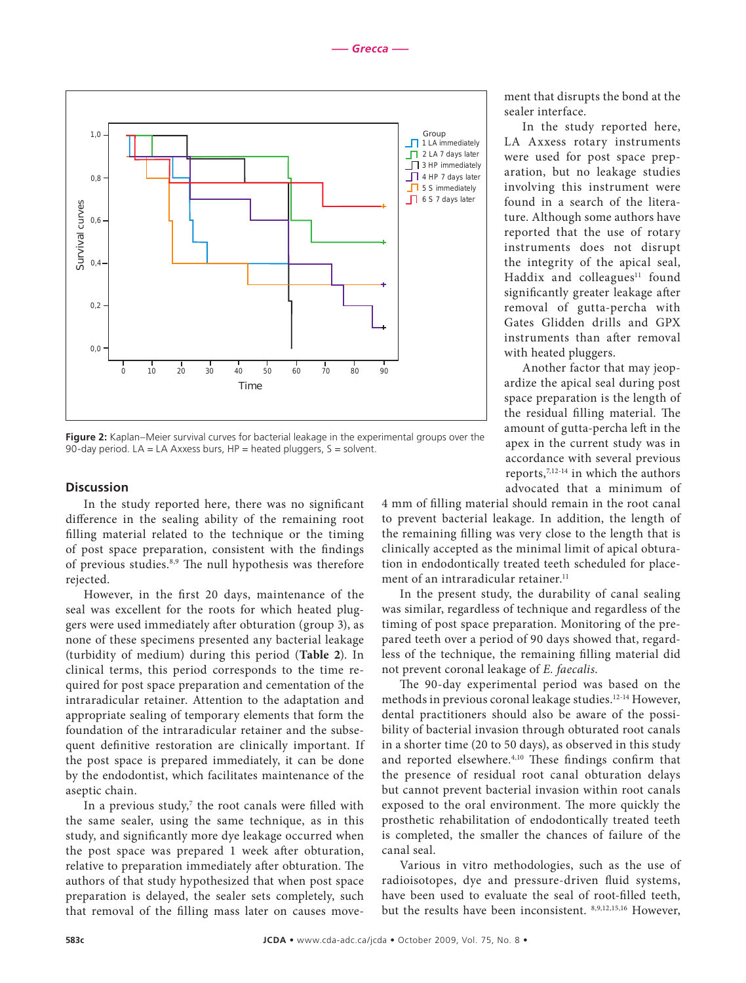

**Figure 2:** Kaplan–Meier survival curves for bacterial leakage in the experimental groups over the 90-day period.  $LA = LA$  Axxess burs,  $HP =$  heated pluggers,  $S =$  solvent.

### **Discussion**

In the study reported here, there was no significant difference in the sealing ability of the remaining root filling material related to the technique or the timing of post space preparation, consistent with the findings of previous studies.8,9 The null hypothesis was therefore rejected.

However, in the first 20 days, maintenance of the seal was excellent for the roots for which heated pluggers were used immediately after obturation (group 3), as none of these specimens presented any bacterial leakage (turbidity of medium) during this period (**Table 2**). In clinical terms, this period corresponds to the time required for post space preparation and cementation of the intraradicular retainer. Attention to the adaptation and appropriate sealing of temporary elements that form the foundation of the intraradicular retainer and the subsequent definitive restoration are clinically important. If the post space is prepared immediately, it can be done by the endodontist, which facilitates maintenance of the aseptic chain.

In a previous study,<sup>7</sup> the root canals were filled with the same sealer, using the same technique, as in this study, and significantly more dye leakage occurred when the post space was prepared 1 week after obturation, relative to preparation immediately after obturation. The authors of that study hypothesized that when post space preparation is delayed, the sealer sets completely, such that removal of the filling mass later on causes movement that disrupts the bond at the sealer interface.

In the study reported here, LA Axxess rotary instruments were used for post space preparation, but no leakage studies involving this instrument were found in a search of the literature. Although some authors have reported that the use of rotary instruments does not disrupt the integrity of the apical seal, Haddix and colleagues<sup>11</sup> found significantly greater leakage after removal of gutta-percha with Gates Glidden drills and GPX instruments than after removal with heated pluggers.

Another factor that may jeopardize the apical seal during post space preparation is the length of the residual filling material. The amount of gutta-percha left in the apex in the current study was in accordance with several previous reports,7,12-14 in which the authors advocated that a minimum of

4 mm of filling material should remain in the root canal to prevent bacterial leakage. In addition, the length of the remaining filling was very close to the length that is clinically accepted as the minimal limit of apical obturation in endodontically treated teeth scheduled for placement of an intraradicular retainer.<sup>11</sup>

In the present study, the durability of canal sealing was similar, regardless of technique and regardless of the timing of post space preparation. Monitoring of the prepared teeth over a period of 90 days showed that, regardless of the technique, the remaining filling material did not prevent coronal leakage of *E. faecalis*.

The 90-day experimental period was based on the methods in previous coronal leakage studies.12-14 However, dental practitioners should also be aware of the possibility of bacterial invasion through obturated root canals in a shorter time (20 to 50 days), as observed in this study and reported elsewhere.<sup>4,10</sup> These findings confirm that the presence of residual root canal obturation delays but cannot prevent bacterial invasion within root canals exposed to the oral environment. The more quickly the prosthetic rehabilitation of endodontically treated teeth is completed, the smaller the chances of failure of the canal seal.

Various in vitro methodologies, such as the use of radioisotopes, dye and pressure-driven fluid systems, have been used to evaluate the seal of root-filled teeth, but the results have been inconsistent. 8,9,12,15,16 However,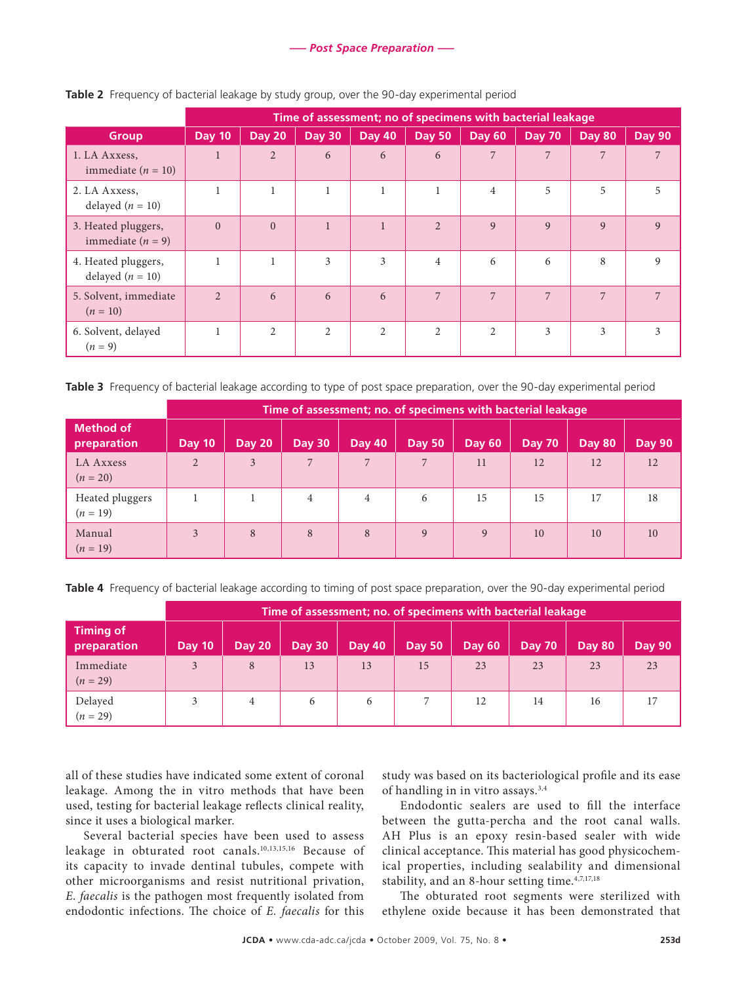|                                            | Time of assessment; no of specimens with bacterial leakage |                |                |                |                |                |               |               |               |
|--------------------------------------------|------------------------------------------------------------|----------------|----------------|----------------|----------------|----------------|---------------|---------------|---------------|
| <b>Group</b>                               | Day 10                                                     | <b>Day 20</b>  | <b>Day 30</b>  | Day 40         | <b>Day 50</b>  | <b>Day 60</b>  | <b>Day 70</b> | <b>Day 80</b> | <b>Day 90</b> |
| 1. LA Axxess,<br>immediate $(n = 10)$      |                                                            | $\overline{2}$ | 6              | 6              | 6              | 7              | 7             | 7             | 7             |
| 2. LA Axxess,<br>delayed $(n = 10)$        | $\mathbf{1}$                                               |                |                | 1              |                | $\overline{4}$ | 5             | 5             | 5             |
| 3. Heated pluggers,<br>immediate $(n = 9)$ | $\Omega$                                                   | $\theta$       | $\mathbf{1}$   | $\mathbf{1}$   | $\overline{2}$ | 9              | 9             | $\mathbf{Q}$  | 9             |
| 4. Heated pluggers,<br>delayed $(n = 10)$  | $\mathbf{1}$                                               |                | 3              | 3              | $\overline{4}$ | 6              | 6             | 8             | 9             |
| 5. Solvent, immediate<br>$(n = 10)$        | $\mathfrak{D}$                                             | 6              | 6              | 6              | 7              | 7              | 7             | 7             | 7             |
| 6. Solvent, delayed<br>$(n = 9)$           | $\mathbf{1}$                                               | 2              | $\overline{2}$ | $\overline{2}$ | 2              | $\overline{2}$ | 3             | 3             | 3             |

**Table 2** Frequency of bacterial leakage by study group, over the 90-day experimental period

**Table 3** Frequency of bacterial leakage according to type of post space preparation, over the 90-day experimental period

|                                 | Time of assessment; no. of specimens with bacterial leakage |               |                 |               |               |        |               |               |               |
|---------------------------------|-------------------------------------------------------------|---------------|-----------------|---------------|---------------|--------|---------------|---------------|---------------|
| <b>Method of</b><br>preparation | Day 10                                                      | <b>Day 20</b> | <b>Day 30</b>   | <b>Day 40</b> | <b>Day 50</b> | Day 60 | <b>Day 70</b> | <b>Day 80</b> | <b>Day 90</b> |
| LA Axxess<br>$(n = 20)$         | $\mathfrak{D}$                                              | 3             | $7\phantom{.0}$ | 7             | 7             | 11     | 12            | 12            | 12            |
| Heated pluggers<br>$(n = 19)$   |                                                             |               | 4               | 4             | 6             | 15     | 15            | 17            | 18            |
| Manual<br>$(n = 19)$            | 3                                                           | 8             | 8               | 8             | 9             | Q      | 10            | 10            | 10            |

**Table 4** Frequency of bacterial leakage according to timing of post space preparation, over the 90-day experimental period

|                                 | Time of assessment; no. of specimens with bacterial leakage |               |               |               |               |               |               |        |               |
|---------------------------------|-------------------------------------------------------------|---------------|---------------|---------------|---------------|---------------|---------------|--------|---------------|
| <b>Timing of</b><br>preparation | <b>Day 10</b>                                               | <b>Day 20</b> | <b>Day 30</b> | <b>Day 40</b> | <b>Day 50</b> | <b>Day 60</b> | <b>Day 70</b> | Day 80 | <b>Day 90</b> |
| Immediate<br>$(n = 29)$         | 3                                                           | 8             | 13            | 13            | 15            | 23            | 23            | 23     | 23            |
| Delayed<br>$(n = 29)$           |                                                             | 4             | 6             | 6             |               | 12            | 14            | 16     |               |

all of these studies have indicated some extent of coronal leakage. Among the in vitro methods that have been used, testing for bacterial leakage reflects clinical reality, since it uses a biological marker.

Several bacterial species have been used to assess leakage in obturated root canals.10,13,15,16 Because of its capacity to invade dentinal tubules, compete with other microorganisms and resist nutritional privation, *E*. *faecalis* is the pathogen most frequently isolated from endodontic infections. The choice of *E. faecalis* for this study was based on its bacteriological profile and its ease of handling in in vitro assays.<sup>3,4</sup>

Endodontic sealers are used to fill the interface between the gutta-percha and the root canal walls. AH Plus is an epoxy resin-based sealer with wide clinical acceptance. This material has good physicochemical properties, including sealability and dimensional stability, and an 8-hour setting time.4,7,17,18

The obturated root segments were sterilized with ethylene oxide because it has been demonstrated that